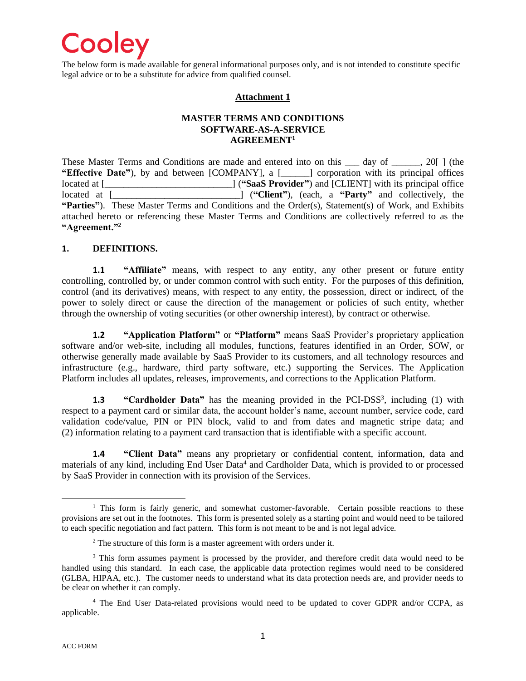

The below form is made available for general informational purposes only, and is not intended to constitute specific legal advice or to be a substitute for advice from qualified counsel.

#### **Attachment 1**

#### **MASTER TERMS AND CONDITIONS SOFTWARE-AS-A-SERVICE AGREEMENT<sup>1</sup>**

These Master Terms and Conditions are made and entered into on this 1 day of 1, 20[] (the **"Effective Date"**), by and between [COMPANY], a [\_\_\_\_\_\_] corporation with its principal offices located at [\_\_\_\_\_\_\_\_\_\_\_\_\_\_\_\_\_\_\_\_\_\_\_\_\_\_\_\_\_\_\_] ("SaaS Provider") and [CLIENT] with its principal office located at  $\Box$  [[[[[[[[[[[[[[[[[[[]]]]]]] ("Client"), (each, a "Party" and collectively. the **lecate** at  $($ **"Client"**), (each, a **"Party"** and collectively, the **"Parties"**). These Master Terms and Conditions and the Order(s), Statement(s) of Work, and Exhibits attached hereto or referencing these Master Terms and Conditions are collectively referred to as the **"Agreement." 2**

#### **1. DEFINITIONS.**

**1.1 "Affiliate"** means, with respect to any entity, any other present or future entity controlling, controlled by, or under common control with such entity. For the purposes of this definition, control (and its derivatives) means, with respect to any entity, the possession, direct or indirect, of the power to solely direct or cause the direction of the management or policies of such entity, whether through the ownership of voting securities (or other ownership interest), by contract or otherwise.

**1.2 "Application Platform"** or **"Platform"** means SaaS Provider's proprietary application software and/or web-site, including all modules, functions, features identified in an Order, SOW, or otherwise generally made available by SaaS Provider to its customers, and all technology resources and infrastructure (e.g., hardware, third party software, etc.) supporting the Services. The Application Platform includes all updates, releases, improvements, and corrections to the Application Platform.

**1.3 "Cardholder Data"** has the meaning provided in the PCI-DSS<sup>3</sup>, including (1) with respect to a payment card or similar data, the account holder's name, account number, service code, card validation code/value, PIN or PIN block, valid to and from dates and magnetic stripe data; and (2) information relating to a payment card transaction that is identifiable with a specific account.

**1.4 "Client Data"** means any proprietary or confidential content, information, data and materials of any kind, including End User Data<sup>4</sup> and Cardholder Data, which is provided to or processed by SaaS Provider in connection with its provision of the Services.

 $1$  This form is fairly generic, and somewhat customer-favorable. Certain possible reactions to these provisions are set out in the footnotes. This form is presented solely as a starting point and would need to be tailored to each specific negotiation and fact pattern. This form is not meant to be and is not legal advice.

<sup>&</sup>lt;sup>2</sup> The structure of this form is a master agreement with orders under it.

<sup>&</sup>lt;sup>3</sup> This form assumes payment is processed by the provider, and therefore credit data would need to be handled using this standard. In each case, the applicable data protection regimes would need to be considered (GLBA, HIPAA, etc.). The customer needs to understand what its data protection needs are, and provider needs to be clear on whether it can comply.

<sup>4</sup> The End User Data-related provisions would need to be updated to cover GDPR and/or CCPA, as applicable.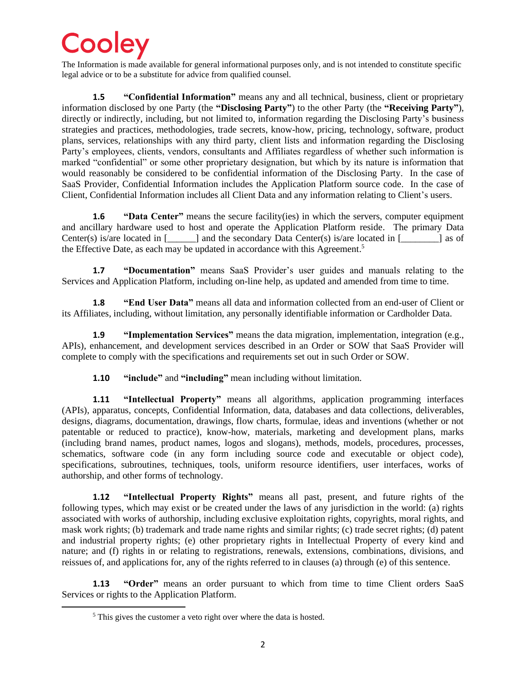The Information is made available for general informational purposes only, and is not intended to constitute specific legal advice or to be a substitute for advice from qualified counsel.

**1.5 "Confidential Information"** means any and all technical, business, client or proprietary information disclosed by one Party (the **"Disclosing Party"**) to the other Party (the **"Receiving Party"**), directly or indirectly, including, but not limited to, information regarding the Disclosing Party's business strategies and practices, methodologies, trade secrets, know-how, pricing, technology, software, product plans, services, relationships with any third party, client lists and information regarding the Disclosing Party's employees, clients, vendors, consultants and Affiliates regardless of whether such information is marked "confidential" or some other proprietary designation, but which by its nature is information that would reasonably be considered to be confidential information of the Disclosing Party. In the case of SaaS Provider, Confidential Information includes the Application Platform source code. In the case of Client, Confidential Information includes all Client Data and any information relating to Client's users.

**1.6 "Data Center"** means the secure facility(ies) in which the servers, computer equipment and ancillary hardware used to host and operate the Application Platform reside. The primary Data Center(s) is/are located in  $\lceil \cdot \cdot \cdot \rceil$  and the secondary Data Center(s) is/are located in  $\lceil \cdot \cdot \cdot \rceil$  as of the Effective Date, as each may be updated in accordance with this Agreement.<sup>5</sup>

**1.7 "Documentation"** means SaaS Provider's user guides and manuals relating to the Services and Application Platform, including on-line help, as updated and amended from time to time.

**1.8 "End User Data"** means all data and information collected from an end-user of Client or its Affiliates, including, without limitation, any personally identifiable information or Cardholder Data.

**1.9 "Implementation Services"** means the data migration, implementation, integration (e.g., APIs), enhancement, and development services described in an Order or SOW that SaaS Provider will complete to comply with the specifications and requirements set out in such Order or SOW.

**1.10 "include"** and **"including"** mean including without limitation.

**1.11 "Intellectual Property"** means all algorithms, application programming interfaces (APIs), apparatus, concepts, Confidential Information, data, databases and data collections, deliverables, designs, diagrams, documentation, drawings, flow charts, formulae, ideas and inventions (whether or not patentable or reduced to practice), know-how, materials, marketing and development plans, marks (including brand names, product names, logos and slogans), methods, models, procedures, processes, schematics, software code (in any form including source code and executable or object code), specifications, subroutines, techniques, tools, uniform resource identifiers, user interfaces, works of authorship, and other forms of technology.

**1.12 "Intellectual Property Rights"** means all past, present, and future rights of the following types, which may exist or be created under the laws of any jurisdiction in the world: (a) rights associated with works of authorship, including exclusive exploitation rights, copyrights, moral rights, and mask work rights; (b) trademark and trade name rights and similar rights; (c) trade secret rights; (d) patent and industrial property rights; (e) other proprietary rights in Intellectual Property of every kind and nature; and (f) rights in or relating to registrations, renewals, extensions, combinations, divisions, and reissues of, and applications for, any of the rights referred to in clauses (a) through (e) of this sentence.

**1.13 "Order"** means an order pursuant to which from time to time Client orders SaaS Services or rights to the Application Platform.

<sup>&</sup>lt;sup>5</sup> This gives the customer a veto right over where the data is hosted.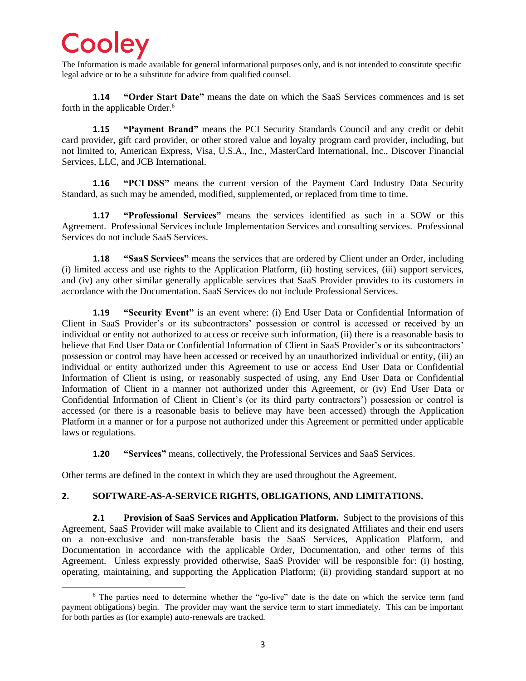The Information is made available for general informational purposes only, and is not intended to constitute specific legal advice or to be a substitute for advice from qualified counsel.

**1.14 "Order Start Date"** means the date on which the SaaS Services commences and is set forth in the applicable Order.<sup>6</sup>

**1.15 "Payment Brand"** means the PCI Security Standards Council and any credit or debit card provider, gift card provider, or other stored value and loyalty program card provider, including, but not limited to, American Express, Visa, U.S.A., Inc., MasterCard International, Inc., Discover Financial Services, LLC, and JCB International.

**1.16 "PCI DSS"** means the current version of the Payment Card Industry Data Security Standard, as such may be amended, modified, supplemented, or replaced from time to time.

**1.17 "Professional Services"** means the services identified as such in a SOW or this Agreement. Professional Services include Implementation Services and consulting services. Professional Services do not include SaaS Services.

**1.18 "SaaS Services"** means the services that are ordered by Client under an Order, including (i) limited access and use rights to the Application Platform, (ii) hosting services, (iii) support services, and (iv) any other similar generally applicable services that SaaS Provider provides to its customers in accordance with the Documentation. SaaS Services do not include Professional Services.

**1.19 "Security Event"** is an event where: (i) End User Data or Confidential Information of Client in SaaS Provider's or its subcontractors' possession or control is accessed or received by an individual or entity not authorized to access or receive such information, (ii) there is a reasonable basis to believe that End User Data or Confidential Information of Client in SaaS Provider's or its subcontractors' possession or control may have been accessed or received by an unauthorized individual or entity, (iii) an individual or entity authorized under this Agreement to use or access End User Data or Confidential Information of Client is using, or reasonably suspected of using, any End User Data or Confidential Information of Client in a manner not authorized under this Agreement, or (iv) End User Data or Confidential Information of Client in Client's (or its third party contractors') possession or control is accessed (or there is a reasonable basis to believe may have been accessed) through the Application Platform in a manner or for a purpose not authorized under this Agreement or permitted under applicable laws or regulations.

**1.20 "Services"** means, collectively, the Professional Services and SaaS Services.

Other terms are defined in the context in which they are used throughout the Agreement.

### **2. SOFTWARE-AS-A-SERVICE RIGHTS, OBLIGATIONS, AND LIMITATIONS.**

**2.1 Provision of SaaS Services and Application Platform.** Subject to the provisions of this Agreement, SaaS Provider will make available to Client and its designated Affiliates and their end users on a non-exclusive and non-transferable basis the SaaS Services, Application Platform, and Documentation in accordance with the applicable Order, Documentation, and other terms of this Agreement. Unless expressly provided otherwise, SaaS Provider will be responsible for: (i) hosting, operating, maintaining, and supporting the Application Platform; (ii) providing standard support at no

<sup>&</sup>lt;sup>6</sup> The parties need to determine whether the "go-live" date is the date on which the service term (and payment obligations) begin. The provider may want the service term to start immediately. This can be important for both parties as (for example) auto-renewals are tracked.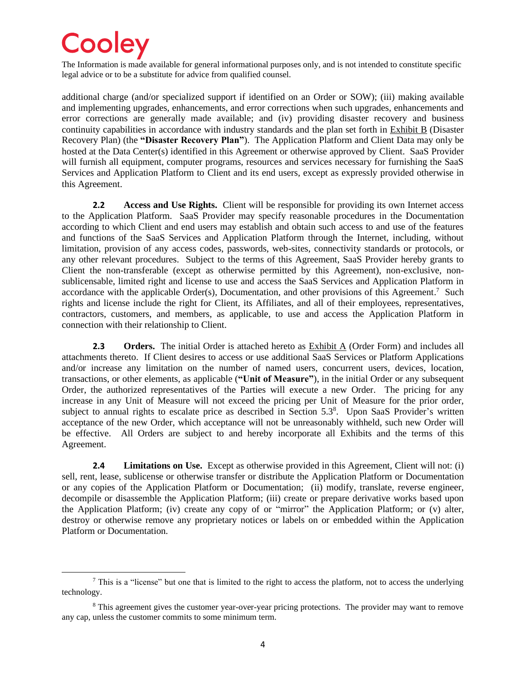The Information is made available for general informational purposes only, and is not intended to constitute specific legal advice or to be a substitute for advice from qualified counsel.

additional charge (and/or specialized support if identified on an Order or SOW); (iii) making available and implementing upgrades, enhancements, and error corrections when such upgrades, enhancements and error corrections are generally made available; and (iv) providing disaster recovery and business continuity capabilities in accordance with industry standards and the plan set forth in Exhibit B (Disaster Recovery Plan) (the **"Disaster Recovery Plan"**). The Application Platform and Client Data may only be hosted at the Data Center(s) identified in this Agreement or otherwise approved by Client. SaaS Provider will furnish all equipment, computer programs, resources and services necessary for furnishing the SaaS Services and Application Platform to Client and its end users, except as expressly provided otherwise in this Agreement.

**2.2 Access and Use Rights.** Client will be responsible for providing its own Internet access to the Application Platform. SaaS Provider may specify reasonable procedures in the Documentation according to which Client and end users may establish and obtain such access to and use of the features and functions of the SaaS Services and Application Platform through the Internet, including, without limitation, provision of any access codes, passwords, web-sites, connectivity standards or protocols, or any other relevant procedures. Subject to the terms of this Agreement, SaaS Provider hereby grants to Client the non-transferable (except as otherwise permitted by this Agreement), non-exclusive, nonsublicensable, limited right and license to use and access the SaaS Services and Application Platform in accordance with the applicable Order(s), Documentation, and other provisions of this Agreement.<sup>7</sup> Such rights and license include the right for Client, its Affiliates, and all of their employees, representatives, contractors, customers, and members, as applicable, to use and access the Application Platform in connection with their relationship to Client.

**2.3 Orders.** The initial Order is attached hereto as Exhibit A (Order Form) and includes all attachments thereto. If Client desires to access or use additional SaaS Services or Platform Applications and/or increase any limitation on the number of named users, concurrent users, devices, location, transactions, or other elements, as applicable (**"Unit of Measure"**), in the initial Order or any subsequent Order, the authorized representatives of the Parties will execute a new Order. The pricing for any increase in any Unit of Measure will not exceed the pricing per Unit of Measure for the prior order, subject to annual rights to escalate price as described in Section 5.3<sup>8</sup>. Upon SaaS Provider's written acceptance of the new Order, which acceptance will not be unreasonably withheld, such new Order will be effective. All Orders are subject to and hereby incorporate all Exhibits and the terms of this Agreement.

**2.4 Limitations on Use.** Except as otherwise provided in this Agreement, Client will not: (i) sell, rent, lease, sublicense or otherwise transfer or distribute the Application Platform or Documentation or any copies of the Application Platform or Documentation; (ii) modify, translate, reverse engineer, decompile or disassemble the Application Platform; (iii) create or prepare derivative works based upon the Application Platform; (iv) create any copy of or "mirror" the Application Platform; or (v) alter, destroy or otherwise remove any proprietary notices or labels on or embedded within the Application Platform or Documentation.

<sup>&</sup>lt;sup>7</sup> This is a "license" but one that is limited to the right to access the platform, not to access the underlying technology.

<sup>&</sup>lt;sup>8</sup> This agreement gives the customer year-over-year pricing protections. The provider may want to remove any cap, unless the customer commits to some minimum term.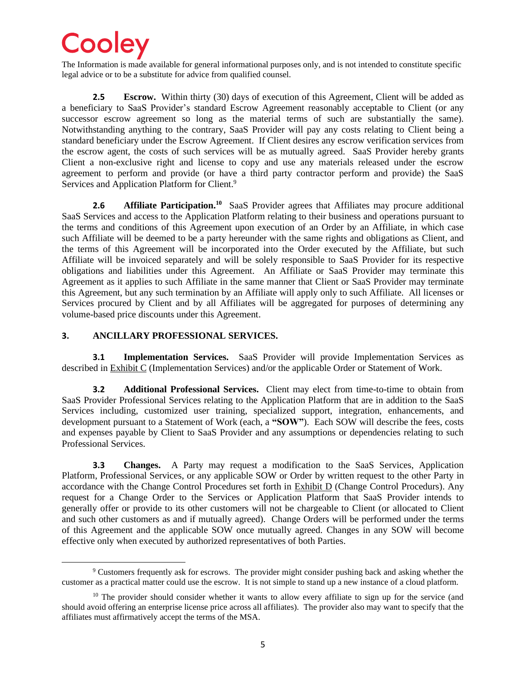The Information is made available for general informational purposes only, and is not intended to constitute specific legal advice or to be a substitute for advice from qualified counsel.

**2.5 Escrow.** Within thirty (30) days of execution of this Agreement, Client will be added as a beneficiary to SaaS Provider's standard Escrow Agreement reasonably acceptable to Client (or any successor escrow agreement so long as the material terms of such are substantially the same). Notwithstanding anything to the contrary, SaaS Provider will pay any costs relating to Client being a standard beneficiary under the Escrow Agreement. If Client desires any escrow verification services from the escrow agent, the costs of such services will be as mutually agreed. SaaS Provider hereby grants Client a non-exclusive right and license to copy and use any materials released under the escrow agreement to perform and provide (or have a third party contractor perform and provide) the SaaS Services and Application Platform for Client.<sup>9</sup>

**2.6 Affiliate Participation.<sup>10</sup>** SaaS Provider agrees that Affiliates may procure additional SaaS Services and access to the Application Platform relating to their business and operations pursuant to the terms and conditions of this Agreement upon execution of an Order by an Affiliate, in which case such Affiliate will be deemed to be a party hereunder with the same rights and obligations as Client, and the terms of this Agreement will be incorporated into the Order executed by the Affiliate, but such Affiliate will be invoiced separately and will be solely responsible to SaaS Provider for its respective obligations and liabilities under this Agreement. An Affiliate or SaaS Provider may terminate this Agreement as it applies to such Affiliate in the same manner that Client or SaaS Provider may terminate this Agreement, but any such termination by an Affiliate will apply only to such Affiliate. All licenses or Services procured by Client and by all Affiliates will be aggregated for purposes of determining any volume-based price discounts under this Agreement.

#### **3. ANCILLARY PROFESSIONAL SERVICES.**

**3.1 Implementation Services.** SaaS Provider will provide Implementation Services as described in Exhibit C (Implementation Services) and/or the applicable Order or Statement of Work.

**3.2 Additional Professional Services.** Client may elect from time-to-time to obtain from SaaS Provider Professional Services relating to the Application Platform that are in addition to the SaaS Services including, customized user training, specialized support, integration, enhancements, and development pursuant to a Statement of Work (each, a **"SOW"**). Each SOW will describe the fees, costs and expenses payable by Client to SaaS Provider and any assumptions or dependencies relating to such Professional Services.

**3.3 Changes.** A Party may request a modification to the SaaS Services, Application Platform, Professional Services, or any applicable SOW or Order by written request to the other Party in accordance with the Change Control Procedures set forth in Exhibit D (Change Control Procedurs). Any request for a Change Order to the Services or Application Platform that SaaS Provider intends to generally offer or provide to its other customers will not be chargeable to Client (or allocated to Client and such other customers as and if mutually agreed). Change Orders will be performed under the terms of this Agreement and the applicable SOW once mutually agreed. Changes in any SOW will become effective only when executed by authorized representatives of both Parties.

<sup>9</sup> Customers frequently ask for escrows. The provider might consider pushing back and asking whether the customer as a practical matter could use the escrow. It is not simple to stand up a new instance of a cloud platform.

 $10$  The provider should consider whether it wants to allow every affiliate to sign up for the service (and should avoid offering an enterprise license price across all affiliates). The provider also may want to specify that the affiliates must affirmatively accept the terms of the MSA.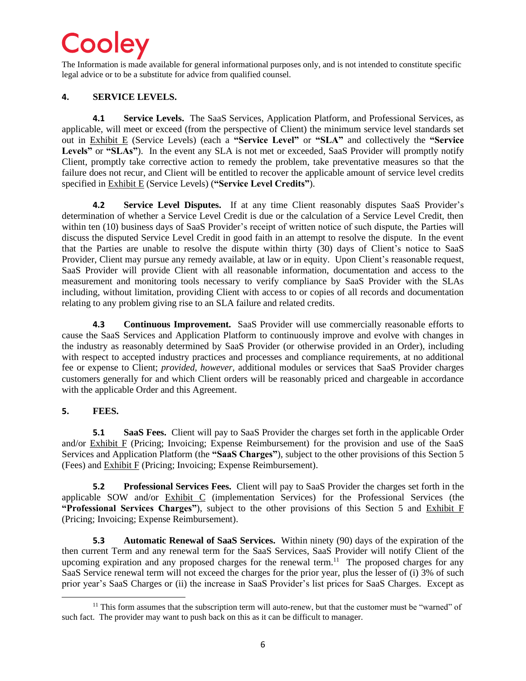The Information is made available for general informational purposes only, and is not intended to constitute specific legal advice or to be a substitute for advice from qualified counsel.

### **4. SERVICE LEVELS.**

**4.1 Service Levels.** The SaaS Services, Application Platform, and Professional Services, as applicable, will meet or exceed (from the perspective of Client) the minimum service level standards set out in Exhibit E (Service Levels) (each a **"Service Level"** or **"SLA"** and collectively the **"Service**  Levels" or "SLAs"). In the event any SLA is not met or exceeded, SaaS Provider will promptly notify Client, promptly take corrective action to remedy the problem, take preventative measures so that the failure does not recur, and Client will be entitled to recover the applicable amount of service level credits specified in Exhibit E (Service Levels) (**"Service Level Credits"**).

**4.2 Service Level Disputes.** If at any time Client reasonably disputes SaaS Provider's determination of whether a Service Level Credit is due or the calculation of a Service Level Credit, then within ten (10) business days of SaaS Provider's receipt of written notice of such dispute, the Parties will discuss the disputed Service Level Credit in good faith in an attempt to resolve the dispute. In the event that the Parties are unable to resolve the dispute within thirty (30) days of Client's notice to SaaS Provider, Client may pursue any remedy available, at law or in equity. Upon Client's reasonable request, SaaS Provider will provide Client with all reasonable information, documentation and access to the measurement and monitoring tools necessary to verify compliance by SaaS Provider with the SLAs including, without limitation, providing Client with access to or copies of all records and documentation relating to any problem giving rise to an SLA failure and related credits.

**4.3 Continuous Improvement.** SaaS Provider will use commercially reasonable efforts to cause the SaaS Services and Application Platform to continuously improve and evolve with changes in the industry as reasonably determined by SaaS Provider (or otherwise provided in an Order), including with respect to accepted industry practices and processes and compliance requirements, at no additional fee or expense to Client; *provided, however,* additional modules or services that SaaS Provider charges customers generally for and which Client orders will be reasonably priced and chargeable in accordance with the applicable Order and this Agreement.

### **5. FEES.**

**5.1 SaaS Fees.** Client will pay to SaaS Provider the charges set forth in the applicable Order and/or Exhibit F (Pricing; Invoicing; Expense Reimbursement) for the provision and use of the SaaS Services and Application Platform (the **"SaaS Charges"**), subject to the other provisions of this Section 5 (Fees) and Exhibit F (Pricing; Invoicing; Expense Reimbursement).

**5.2 Professional Services Fees.** Client will pay to SaaS Provider the charges set forth in the applicable SOW and/or Exhibit C (implementation Services) for the Professional Services (the **"Professional Services Charges"**), subject to the other provisions of this Section 5 and Exhibit F (Pricing; Invoicing; Expense Reimbursement).

**5.3 Automatic Renewal of SaaS Services.** Within ninety (90) days of the expiration of the then current Term and any renewal term for the SaaS Services, SaaS Provider will notify Client of the upcoming expiration and any proposed charges for the renewal term.<sup>11</sup> The proposed charges for any SaaS Service renewal term will not exceed the charges for the prior year, plus the lesser of (i) 3% of such prior year's SaaS Charges or (ii) the increase in SaaS Provider's list prices for SaaS Charges. Except as

 $11$  This form assumes that the subscription term will auto-renew, but that the customer must be "warned" of such fact. The provider may want to push back on this as it can be difficult to manager.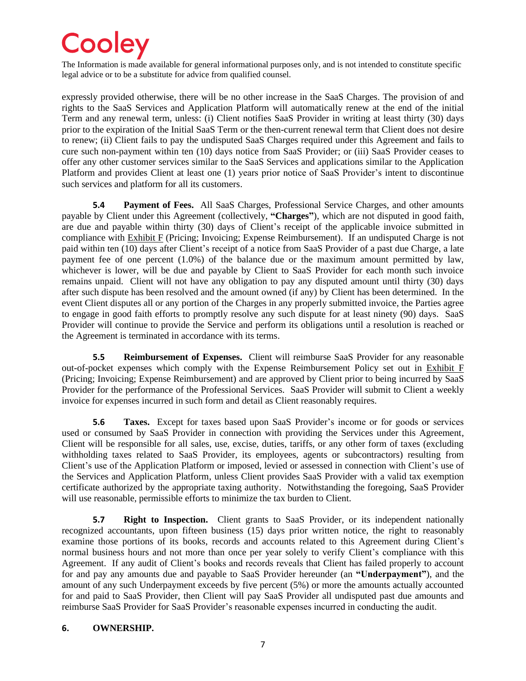The Information is made available for general informational purposes only, and is not intended to constitute specific legal advice or to be a substitute for advice from qualified counsel.

expressly provided otherwise, there will be no other increase in the SaaS Charges. The provision of and rights to the SaaS Services and Application Platform will automatically renew at the end of the initial Term and any renewal term, unless: (i) Client notifies SaaS Provider in writing at least thirty (30) days prior to the expiration of the Initial SaaS Term or the then-current renewal term that Client does not desire to renew; (ii) Client fails to pay the undisputed SaaS Charges required under this Agreement and fails to cure such non-payment within ten (10) days notice from SaaS Provider; or (iii) SaaS Provider ceases to offer any other customer services similar to the SaaS Services and applications similar to the Application Platform and provides Client at least one (1) years prior notice of SaaS Provider's intent to discontinue such services and platform for all its customers.

**5.4 Payment of Fees.** All SaaS Charges, Professional Service Charges, and other amounts payable by Client under this Agreement (collectively, **"Charges"**), which are not disputed in good faith, are due and payable within thirty (30) days of Client's receipt of the applicable invoice submitted in compliance with Exhibit F (Pricing; Invoicing; Expense Reimbursement). If an undisputed Charge is not paid within ten (10) days after Client's receipt of a notice from SaaS Provider of a past due Charge, a late payment fee of one percent (1.0%) of the balance due or the maximum amount permitted by law, whichever is lower, will be due and payable by Client to SaaS Provider for each month such invoice remains unpaid. Client will not have any obligation to pay any disputed amount until thirty (30) days after such dispute has been resolved and the amount owned (if any) by Client has been determined. In the event Client disputes all or any portion of the Charges in any properly submitted invoice, the Parties agree to engage in good faith efforts to promptly resolve any such dispute for at least ninety (90) days. SaaS Provider will continue to provide the Service and perform its obligations until a resolution is reached or the Agreement is terminated in accordance with its terms.

**5.5 Reimbursement of Expenses.** Client will reimburse SaaS Provider for any reasonable out-of-pocket expenses which comply with the Expense Reimbursement Policy set out in Exhibit F (Pricing; Invoicing; Expense Reimbursement) and are approved by Client prior to being incurred by SaaS Provider for the performance of the Professional Services. SaaS Provider will submit to Client a weekly invoice for expenses incurred in such form and detail as Client reasonably requires.

**5.6 Taxes.** Except for taxes based upon SaaS Provider's income or for goods or services used or consumed by SaaS Provider in connection with providing the Services under this Agreement, Client will be responsible for all sales, use, excise, duties, tariffs, or any other form of taxes (excluding withholding taxes related to SaaS Provider, its employees, agents or subcontractors) resulting from Client's use of the Application Platform or imposed, levied or assessed in connection with Client's use of the Services and Application Platform, unless Client provides SaaS Provider with a valid tax exemption certificate authorized by the appropriate taxing authority. Notwithstanding the foregoing, SaaS Provider will use reasonable, permissible efforts to minimize the tax burden to Client.

**5.7 Right to Inspection.** Client grants to SaaS Provider, or its independent nationally recognized accountants, upon fifteen business (15) days prior written notice, the right to reasonably examine those portions of its books, records and accounts related to this Agreement during Client's normal business hours and not more than once per year solely to verify Client's compliance with this Agreement. If any audit of Client's books and records reveals that Client has failed properly to account for and pay any amounts due and payable to SaaS Provider hereunder (an **"Underpayment"**), and the amount of any such Underpayment exceeds by five percent (5%) or more the amounts actually accounted for and paid to SaaS Provider, then Client will pay SaaS Provider all undisputed past due amounts and reimburse SaaS Provider for SaaS Provider's reasonable expenses incurred in conducting the audit.

#### **6. OWNERSHIP.**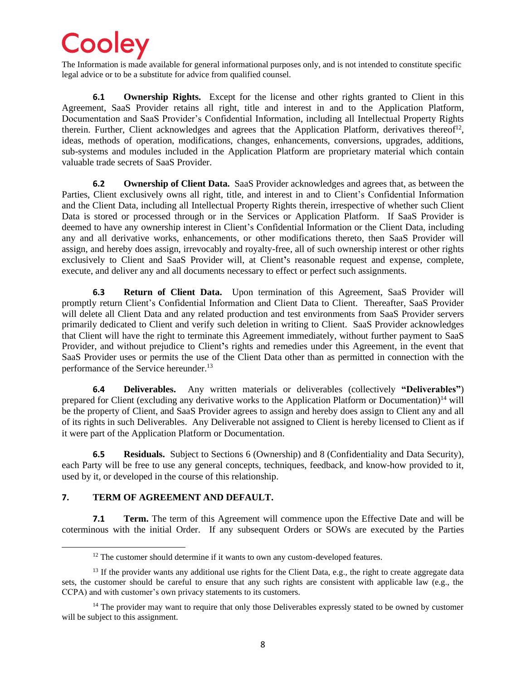The Information is made available for general informational purposes only, and is not intended to constitute specific legal advice or to be a substitute for advice from qualified counsel.

**6.1 Ownership Rights.** Except for the license and other rights granted to Client in this Agreement, SaaS Provider retains all right, title and interest in and to the Application Platform, Documentation and SaaS Provider's Confidential Information, including all Intellectual Property Rights therein. Further, Client acknowledges and agrees that the Application Platform, derivatives thereof<sup>12</sup>, ideas, methods of operation, modifications, changes, enhancements, conversions, upgrades, additions, sub-systems and modules included in the Application Platform are proprietary material which contain valuable trade secrets of SaaS Provider.

**6.2 Ownership of Client Data.** SaaS Provider acknowledges and agrees that, as between the Parties, Client exclusively owns all right, title, and interest in and to Client's Confidential Information and the Client Data, including all Intellectual Property Rights therein, irrespective of whether such Client Data is stored or processed through or in the Services or Application Platform. If SaaS Provider is deemed to have any ownership interest in Client's Confidential Information or the Client Data, including any and all derivative works, enhancements, or other modifications thereto, then SaaS Provider will assign, and hereby does assign, irrevocably and royalty-free, all of such ownership interest or other rights exclusively to Client and SaaS Provider will, at Client**'**s reasonable request and expense, complete, execute, and deliver any and all documents necessary to effect or perfect such assignments.

**6.3 Return of Client Data.** Upon termination of this Agreement, SaaS Provider will promptly return Client's Confidential Information and Client Data to Client. Thereafter, SaaS Provider will delete all Client Data and any related production and test environments from SaaS Provider servers primarily dedicated to Client and verify such deletion in writing to Client. SaaS Provider acknowledges that Client will have the right to terminate this Agreement immediately, without further payment to SaaS Provider, and without prejudice to Client**'**s rights and remedies under this Agreement, in the event that SaaS Provider uses or permits the use of the Client Data other than as permitted in connection with the performance of the Service hereunder.<sup>13</sup>

**6.4 Deliverables.** Any written materials or deliverables (collectively **"Deliverables"**) prepared for Client (excluding any derivative works to the Application Platform or Documentation)<sup>14</sup> will be the property of Client, and SaaS Provider agrees to assign and hereby does assign to Client any and all of its rights in such Deliverables. Any Deliverable not assigned to Client is hereby licensed to Client as if it were part of the Application Platform or Documentation.

**6.5 Residuals.** Subject to Sections 6 (Ownership) and 8 (Confidentiality and Data Security), each Party will be free to use any general concepts, techniques, feedback, and know-how provided to it, used by it, or developed in the course of this relationship.

### **7. TERM OF AGREEMENT AND DEFAULT.**

**7.1 Term.** The term of this Agreement will commence upon the Effective Date and will be coterminous with the initial Order. If any subsequent Orders or SOWs are executed by the Parties

 $12$  The customer should determine if it wants to own any custom-developed features.

 $13$  If the provider wants any additional use rights for the Client Data, e.g., the right to create aggregate data sets, the customer should be careful to ensure that any such rights are consistent with applicable law (e.g., the CCPA) and with customer's own privacy statements to its customers.

<sup>&</sup>lt;sup>14</sup> The provider may want to require that only those Deliverables expressly stated to be owned by customer will be subject to this assignment.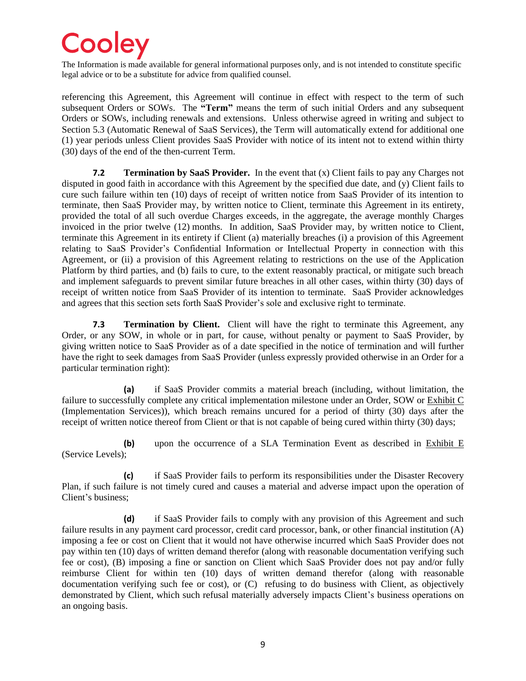The Information is made available for general informational purposes only, and is not intended to constitute specific legal advice or to be a substitute for advice from qualified counsel.

referencing this Agreement, this Agreement will continue in effect with respect to the term of such subsequent Orders or SOWs. The **"Term"** means the term of such initial Orders and any subsequent Orders or SOWs, including renewals and extensions. Unless otherwise agreed in writing and subject to Section 5.3 (Automatic Renewal of SaaS Services), the Term will automatically extend for additional one (1) year periods unless Client provides SaaS Provider with notice of its intent not to extend within thirty (30) days of the end of the then-current Term.

**7.2 Termination by SaaS Provider.** In the event that (x) Client fails to pay any Charges not disputed in good faith in accordance with this Agreement by the specified due date, and (y) Client fails to cure such failure within ten (10) days of receipt of written notice from SaaS Provider of its intention to terminate, then SaaS Provider may, by written notice to Client, terminate this Agreement in its entirety, provided the total of all such overdue Charges exceeds, in the aggregate, the average monthly Charges invoiced in the prior twelve (12) months. In addition, SaaS Provider may, by written notice to Client, terminate this Agreement in its entirety if Client (a) materially breaches (i) a provision of this Agreement relating to SaaS Provider's Confidential Information or Intellectual Property in connection with this Agreement, or (ii) a provision of this Agreement relating to restrictions on the use of the Application Platform by third parties, and (b) fails to cure, to the extent reasonably practical, or mitigate such breach and implement safeguards to prevent similar future breaches in all other cases, within thirty (30) days of receipt of written notice from SaaS Provider of its intention to terminate. SaaS Provider acknowledges and agrees that this section sets forth SaaS Provider's sole and exclusive right to terminate.

**7.3 Termination by Client.** Client will have the right to terminate this Agreement, any Order, or any SOW, in whole or in part, for cause, without penalty or payment to SaaS Provider, by giving written notice to SaaS Provider as of a date specified in the notice of termination and will further have the right to seek damages from SaaS Provider (unless expressly provided otherwise in an Order for a particular termination right):

**(a)** if SaaS Provider commits a material breach (including, without limitation, the failure to successfully complete any critical implementation milestone under an Order, SOW or Exhibit C (Implementation Services)), which breach remains uncured for a period of thirty (30) days after the receipt of written notice thereof from Client or that is not capable of being cured within thirty (30) days;

**(b)** upon the occurrence of a SLA Termination Event as described in Exhibit E (Service Levels);

**(c)** if SaaS Provider fails to perform its responsibilities under the Disaster Recovery Plan, if such failure is not timely cured and causes a material and adverse impact upon the operation of Client's business;

**(d)** if SaaS Provider fails to comply with any provision of this Agreement and such failure results in any payment card processor, credit card processor, bank, or other financial institution (A) imposing a fee or cost on Client that it would not have otherwise incurred which SaaS Provider does not pay within ten (10) days of written demand therefor (along with reasonable documentation verifying such fee or cost), (B) imposing a fine or sanction on Client which SaaS Provider does not pay and/or fully reimburse Client for within ten (10) days of written demand therefor (along with reasonable documentation verifying such fee or cost), or (C) refusing to do business with Client, as objectively demonstrated by Client, which such refusal materially adversely impacts Client's business operations on an ongoing basis.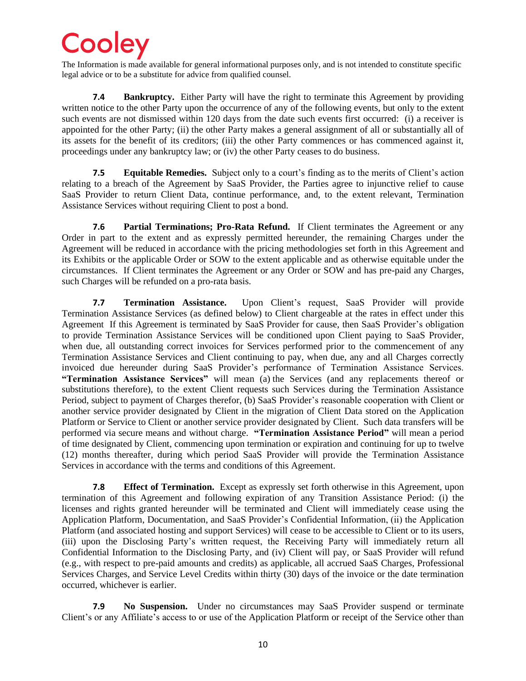The Information is made available for general informational purposes only, and is not intended to constitute specific legal advice or to be a substitute for advice from qualified counsel.

**7.4 Bankruptcy.** Either Party will have the right to terminate this Agreement by providing written notice to the other Party upon the occurrence of any of the following events, but only to the extent such events are not dismissed within 120 days from the date such events first occurred: (i) a receiver is appointed for the other Party; (ii) the other Party makes a general assignment of all or substantially all of its assets for the benefit of its creditors; (iii) the other Party commences or has commenced against it, proceedings under any bankruptcy law; or (iv) the other Party ceases to do business.

**7.5 Equitable Remedies.** Subject only to a court's finding as to the merits of Client's action relating to a breach of the Agreement by SaaS Provider, the Parties agree to injunctive relief to cause SaaS Provider to return Client Data, continue performance, and, to the extent relevant, Termination Assistance Services without requiring Client to post a bond.

**7.6 Partial Terminations; Pro-Rata Refund.** If Client terminates the Agreement or any Order in part to the extent and as expressly permitted hereunder, the remaining Charges under the Agreement will be reduced in accordance with the pricing methodologies set forth in this Agreement and its Exhibits or the applicable Order or SOW to the extent applicable and as otherwise equitable under the circumstances. If Client terminates the Agreement or any Order or SOW and has pre-paid any Charges, such Charges will be refunded on a pro-rata basis.

**7.7 Termination Assistance.** Upon Client's request, SaaS Provider will provide Termination Assistance Services (as defined below) to Client chargeable at the rates in effect under this Agreement If this Agreement is terminated by SaaS Provider for cause, then SaaS Provider's obligation to provide Termination Assistance Services will be conditioned upon Client paying to SaaS Provider, when due, all outstanding correct invoices for Services performed prior to the commencement of any Termination Assistance Services and Client continuing to pay, when due, any and all Charges correctly invoiced due hereunder during SaaS Provider's performance of Termination Assistance Services. **"Termination Assistance Services"** will mean (a) the Services (and any replacements thereof or substitutions therefore), to the extent Client requests such Services during the Termination Assistance Period, subject to payment of Charges therefor, (b) SaaS Provider's reasonable cooperation with Client or another service provider designated by Client in the migration of Client Data stored on the Application Platform or Service to Client or another service provider designated by Client. Such data transfers will be performed via secure means and without charge. **"Termination Assistance Period"** will mean a period of time designated by Client, commencing upon termination or expiration and continuing for up to twelve (12) months thereafter, during which period SaaS Provider will provide the Termination Assistance Services in accordance with the terms and conditions of this Agreement.

**7.8 Effect of Termination.** Except as expressly set forth otherwise in this Agreement, upon termination of this Agreement and following expiration of any Transition Assistance Period: (i) the licenses and rights granted hereunder will be terminated and Client will immediately cease using the Application Platform, Documentation, and SaaS Provider's Confidential Information, (ii) the Application Platform (and associated hosting and support Services) will cease to be accessible to Client or to its users, (iii) upon the Disclosing Party's written request, the Receiving Party will immediately return all Confidential Information to the Disclosing Party, and (iv) Client will pay, or SaaS Provider will refund (e.g., with respect to pre-paid amounts and credits) as applicable, all accrued SaaS Charges, Professional Services Charges, and Service Level Credits within thirty (30) days of the invoice or the date termination occurred, whichever is earlier.

**7.9 No Suspension.** Under no circumstances may SaaS Provider suspend or terminate Client's or any Affiliate's access to or use of the Application Platform or receipt of the Service other than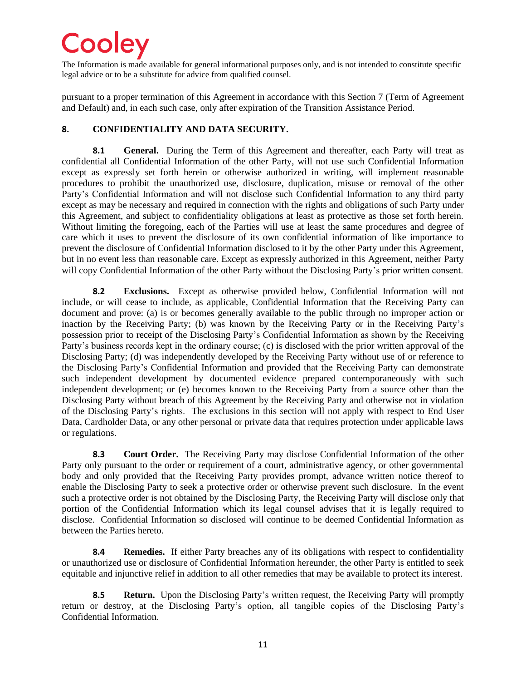The Information is made available for general informational purposes only, and is not intended to constitute specific legal advice or to be a substitute for advice from qualified counsel.

pursuant to a proper termination of this Agreement in accordance with this Section 7 (Term of Agreement and Default) and, in each such case, only after expiration of the Transition Assistance Period.

### **8. CONFIDENTIALITY AND DATA SECURITY.**

**8.1 General.** During the Term of this Agreement and thereafter, each Party will treat as confidential all Confidential Information of the other Party, will not use such Confidential Information except as expressly set forth herein or otherwise authorized in writing, will implement reasonable procedures to prohibit the unauthorized use, disclosure, duplication, misuse or removal of the other Party's Confidential Information and will not disclose such Confidential Information to any third party except as may be necessary and required in connection with the rights and obligations of such Party under this Agreement, and subject to confidentiality obligations at least as protective as those set forth herein. Without limiting the foregoing, each of the Parties will use at least the same procedures and degree of care which it uses to prevent the disclosure of its own confidential information of like importance to prevent the disclosure of Confidential Information disclosed to it by the other Party under this Agreement, but in no event less than reasonable care. Except as expressly authorized in this Agreement, neither Party will copy Confidential Information of the other Party without the Disclosing Party's prior written consent.

**8.2 Exclusions.** Except as otherwise provided below, Confidential Information will not include, or will cease to include, as applicable, Confidential Information that the Receiving Party can document and prove: (a) is or becomes generally available to the public through no improper action or inaction by the Receiving Party; (b) was known by the Receiving Party or in the Receiving Party's possession prior to receipt of the Disclosing Party's Confidential Information as shown by the Receiving Party's business records kept in the ordinary course; (c) is disclosed with the prior written approval of the Disclosing Party; (d) was independently developed by the Receiving Party without use of or reference to the Disclosing Party's Confidential Information and provided that the Receiving Party can demonstrate such independent development by documented evidence prepared contemporaneously with such independent development; or (e) becomes known to the Receiving Party from a source other than the Disclosing Party without breach of this Agreement by the Receiving Party and otherwise not in violation of the Disclosing Party's rights. The exclusions in this section will not apply with respect to End User Data, Cardholder Data, or any other personal or private data that requires protection under applicable laws or regulations.

**8.3 Court Order.** The Receiving Party may disclose Confidential Information of the other Party only pursuant to the order or requirement of a court, administrative agency, or other governmental body and only provided that the Receiving Party provides prompt, advance written notice thereof to enable the Disclosing Party to seek a protective order or otherwise prevent such disclosure. In the event such a protective order is not obtained by the Disclosing Party, the Receiving Party will disclose only that portion of the Confidential Information which its legal counsel advises that it is legally required to disclose. Confidential Information so disclosed will continue to be deemed Confidential Information as between the Parties hereto.

**8.4 Remedies.** If either Party breaches any of its obligations with respect to confidentiality or unauthorized use or disclosure of Confidential Information hereunder, the other Party is entitled to seek equitable and injunctive relief in addition to all other remedies that may be available to protect its interest.

**8.5 Return.** Upon the Disclosing Party's written request, the Receiving Party will promptly return or destroy, at the Disclosing Party's option, all tangible copies of the Disclosing Party's Confidential Information.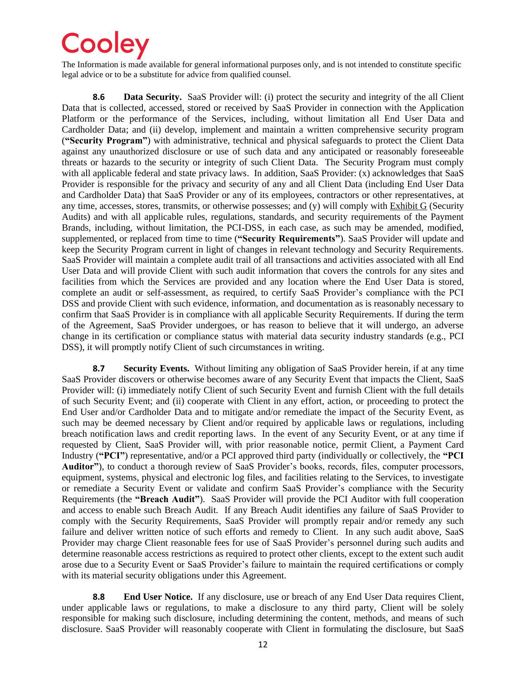The Information is made available for general informational purposes only, and is not intended to constitute specific legal advice or to be a substitute for advice from qualified counsel.

**8.6 Data Security.** SaaS Provider will: (i) protect the security and integrity of the all Client Data that is collected, accessed, stored or received by SaaS Provider in connection with the Application Platform or the performance of the Services, including, without limitation all End User Data and Cardholder Data; and (ii) develop, implement and maintain a written comprehensive security program (**"Security Program"**) with administrative, technical and physical safeguards to protect the Client Data against any unauthorized disclosure or use of such data and any anticipated or reasonably foreseeable threats or hazards to the security or integrity of such Client Data. The Security Program must comply with all applicable federal and state privacy laws. In addition, SaaS Provider: (x) acknowledges that SaaS Provider is responsible for the privacy and security of any and all Client Data (including End User Data and Cardholder Data) that SaaS Provider or any of its employees, contractors or other representatives, at any time, accesses, stores, transmits, or otherwise possesses; and (y) will comply with Exhibit G (Security Audits) and with all applicable rules, regulations, standards, and security requirements of the Payment Brands, including, without limitation, the PCI-DSS, in each case, as such may be amended, modified, supplemented, or replaced from time to time (**"Security Requirements"**). SaaS Provider will update and keep the Security Program current in light of changes in relevant technology and Security Requirements. SaaS Provider will maintain a complete audit trail of all transactions and activities associated with all End User Data and will provide Client with such audit information that covers the controls for any sites and facilities from which the Services are provided and any location where the End User Data is stored, complete an audit or self-assessment, as required, to certify SaaS Provider's compliance with the PCI DSS and provide Client with such evidence, information, and documentation as is reasonably necessary to confirm that SaaS Provider is in compliance with all applicable Security Requirements. If during the term of the Agreement, SaaS Provider undergoes, or has reason to believe that it will undergo, an adverse change in its certification or compliance status with material data security industry standards (e.g., PCI DSS), it will promptly notify Client of such circumstances in writing.

**8.7 Security Events.** Without limiting any obligation of SaaS Provider herein, if at any time SaaS Provider discovers or otherwise becomes aware of any Security Event that impacts the Client, SaaS Provider will: (i) immediately notify Client of such Security Event and furnish Client with the full details of such Security Event; and (ii) cooperate with Client in any effort, action, or proceeding to protect the End User and/or Cardholder Data and to mitigate and/or remediate the impact of the Security Event, as such may be deemed necessary by Client and/or required by applicable laws or regulations, including breach notification laws and credit reporting laws. In the event of any Security Event, or at any time if requested by Client, SaaS Provider will, with prior reasonable notice, permit Client, a Payment Card Industry (**"PCI"**) representative, and/or a PCI approved third party (individually or collectively, the **"PCI Auditor"**), to conduct a thorough review of SaaS Provider's books, records, files, computer processors, equipment, systems, physical and electronic log files, and facilities relating to the Services, to investigate or remediate a Security Event or validate and confirm SaaS Provider's compliance with the Security Requirements (the **"Breach Audit"**). SaaS Provider will provide the PCI Auditor with full cooperation and access to enable such Breach Audit. If any Breach Audit identifies any failure of SaaS Provider to comply with the Security Requirements, SaaS Provider will promptly repair and/or remedy any such failure and deliver written notice of such efforts and remedy to Client. In any such audit above, SaaS Provider may charge Client reasonable fees for use of SaaS Provider's personnel during such audits and determine reasonable access restrictions as required to protect other clients, except to the extent such audit arose due to a Security Event or SaaS Provider's failure to maintain the required certifications or comply with its material security obligations under this Agreement.

**8.8 End User Notice.** If any disclosure, use or breach of any End User Data requires Client, under applicable laws or regulations, to make a disclosure to any third party, Client will be solely responsible for making such disclosure, including determining the content, methods, and means of such disclosure. SaaS Provider will reasonably cooperate with Client in formulating the disclosure, but SaaS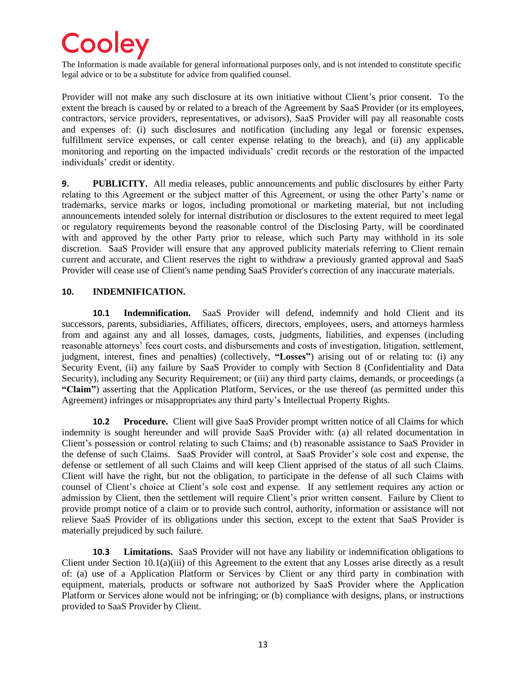The Information is made available for general informational purposes only, and is not intended to constitute specific legal advice or to be a substitute for advice from qualified counsel.

Provider will not make any such disclosure at its own initiative without Client's prior consent. To the extent the breach is caused by or related to a breach of the Agreement by SaaS Provider (or its employees, contractors, service providers, representatives, or advisors), SaaS Provider will pay all reasonable costs and expenses of: (i) such disclosures and notification (including any legal or forensic expenses, fulfillment service expenses, or call center expense relating to the breach), and (ii) any applicable monitoring and reporting on the impacted individuals' credit records or the restoration of the impacted individuals' credit or identity.

**9. PUBLICITY.** All media releases, public announcements and public disclosures by either Party relating to this Agreement or the subject matter of this Agreement, or using the other Party's name or trademarks, service marks or logos, including promotional or marketing material, but not including announcements intended solely for internal distribution or disclosures to the extent required to meet legal or regulatory requirements beyond the reasonable control of the Disclosing Party, will be coordinated with and approved by the other Party prior to release, which such Party may withhold in its sole discretion. SaaS Provider will ensure that any approved publicity materials referring to Client remain current and accurate, and Client reserves the right to withdraw a previously granted approval and SaaS Provider will cease use of Client's name pending SaaS Provider's correction of any inaccurate materials.

#### **10. INDEMNIFICATION.**

**10.1 Indemnification.** SaaS Provider will defend, indemnify and hold Client and its successors, parents, subsidiaries, Affiliates, officers, directors, employees, users, and attorneys harmless from and against any and all losses, damages, costs, judgments, liabilities, and expenses (including reasonable attorneys' fees court costs, and disbursements and costs of investigation, litigation, settlement, judgment, interest, fines and penalties) (collectively, **"Losses"**) arising out of or relating to: (i) any Security Event, (ii) any failure by SaaS Provider to comply with Section 8 (Confidentiality and Data Security), including any Security Requirement; or (iii) any third party claims, demands, or proceedings (a **"Claim"**) asserting that the Application Platform, Services, or the use thereof (as permitted under this Agreement) infringes or misappropriates any third party's Intellectual Property Rights.

**10.2 Procedure.** Client will give SaaS Provider prompt written notice of all Claims for which indemnity is sought hereunder and will provide SaaS Provider with: (a) all related documentation in Client's possession or control relating to such Claims; and (b) reasonable assistance to SaaS Provider in the defense of such Claims. SaaS Provider will control, at SaaS Provider's sole cost and expense, the defense or settlement of all such Claims and will keep Client apprised of the status of all such Claims. Client will have the right, but not the obligation, to participate in the defense of all such Claims with counsel of Client's choice at Client's sole cost and expense. If any settlement requires any action or admission by Client, then the settlement will require Client's prior written consent. Failure by Client to provide prompt notice of a claim or to provide such control, authority, information or assistance will not relieve SaaS Provider of its obligations under this section, except to the extent that SaaS Provider is materially prejudiced by such failure.

**10.3 Limitations.** SaaS Provider will not have any liability or indemnification obligations to Client under Section 10.1(a)(iii) of this Agreement to the extent that any Losses arise directly as a result of: (a) use of a Application Platform or Services by Client or any third party in combination with equipment, materials, products or software not authorized by SaaS Provider where the Application Platform or Services alone would not be infringing; or (b) compliance with designs, plans, or instructions provided to SaaS Provider by Client.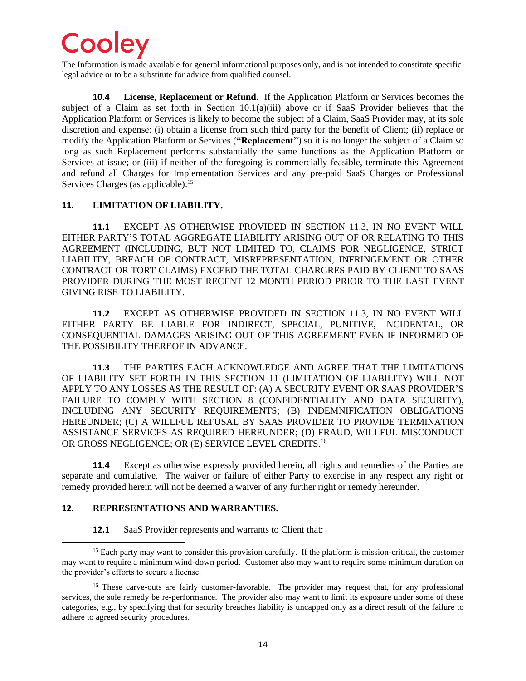The Information is made available for general informational purposes only, and is not intended to constitute specific legal advice or to be a substitute for advice from qualified counsel.

**10.4 License, Replacement or Refund.** If the Application Platform or Services becomes the subject of a Claim as set forth in Section 10.1(a)(iii) above or if SaaS Provider believes that the Application Platform or Services is likely to become the subject of a Claim, SaaS Provider may, at its sole discretion and expense: (i) obtain a license from such third party for the benefit of Client; (ii) replace or modify the Application Platform or Services (**"Replacement"**) so it is no longer the subject of a Claim so long as such Replacement performs substantially the same functions as the Application Platform or Services at issue; or (iii) if neither of the foregoing is commercially feasible, terminate this Agreement and refund all Charges for Implementation Services and any pre-paid SaaS Charges or Professional Services Charges (as applicable).<sup>15</sup>

#### **11. LIMITATION OF LIABILITY.**

**11.1** EXCEPT AS OTHERWISE PROVIDED IN SECTION 11.3, IN NO EVENT WILL EITHER PARTY'S TOTAL AGGREGATE LIABILITY ARISING OUT OF OR RELATING TO THIS AGREEMENT (INCLUDING, BUT NOT LIMITED TO, CLAIMS FOR NEGLIGENCE, STRICT LIABILITY, BREACH OF CONTRACT, MISREPRESENTATION, INFRINGEMENT OR OTHER CONTRACT OR TORT CLAIMS) EXCEED THE TOTAL CHARGRES PAID BY CLIENT TO SAAS PROVIDER DURING THE MOST RECENT 12 MONTH PERIOD PRIOR TO THE LAST EVENT GIVING RISE TO LIABILITY.

**11.2** EXCEPT AS OTHERWISE PROVIDED IN SECTION 11.3, IN NO EVENT WILL EITHER PARTY BE LIABLE FOR INDIRECT, SPECIAL, PUNITIVE, INCIDENTAL, OR CONSEQUENTIAL DAMAGES ARISING OUT OF THIS AGREEMENT EVEN IF INFORMED OF THE POSSIBILITY THEREOF IN ADVANCE.

**11.3** THE PARTIES EACH ACKNOWLEDGE AND AGREE THAT THE LIMITATIONS OF LIABILITY SET FORTH IN THIS SECTION 11 (LIMITATION OF LIABILITY) WILL NOT APPLY TO ANY LOSSES AS THE RESULT OF: (A) A SECURITY EVENT OR SAAS PROVIDER'S FAILURE TO COMPLY WITH SECTION 8 (CONFIDENTIALITY AND DATA SECURITY), INCLUDING ANY SECURITY REQUIREMENTS; (B) INDEMNIFICATION OBLIGATIONS HEREUNDER; (C) A WILLFUL REFUSAL BY SAAS PROVIDER TO PROVIDE TERMINATION ASSISTANCE SERVICES AS REQUIRED HEREUNDER; (D) FRAUD, WILLFUL MISCONDUCT OR GROSS NEGLIGENCE; OR (E) SERVICE LEVEL CREDITS. 16

**11.4** Except as otherwise expressly provided herein, all rights and remedies of the Parties are separate and cumulative. The waiver or failure of either Party to exercise in any respect any right or remedy provided herein will not be deemed a waiver of any further right or remedy hereunder.

#### **12. REPRESENTATIONS AND WARRANTIES.**

**12.1** SaaS Provider represents and warrants to Client that:

<sup>&</sup>lt;sup>15</sup> Each party may want to consider this provision carefully. If the platform is mission-critical, the customer may want to require a minimum wind-down period. Customer also may want to require some minimum duration on the provider's efforts to secure a license.

<sup>&</sup>lt;sup>16</sup> These carve-outs are fairly customer-favorable. The provider may request that, for any professional services, the sole remedy be re-performance. The provider also may want to limit its exposure under some of these categories, e.g., by specifying that for security breaches liability is uncapped only as a direct result of the failure to adhere to agreed security procedures.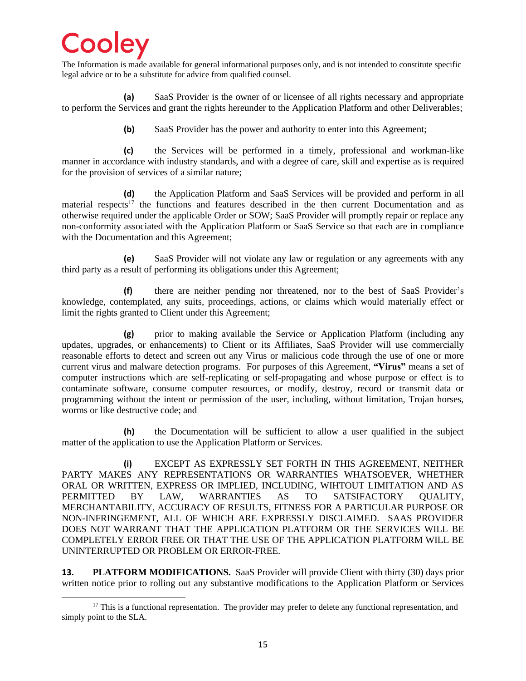The Information is made available for general informational purposes only, and is not intended to constitute specific legal advice or to be a substitute for advice from qualified counsel.

**(a)** SaaS Provider is the owner of or licensee of all rights necessary and appropriate to perform the Services and grant the rights hereunder to the Application Platform and other Deliverables;

**(b)** SaaS Provider has the power and authority to enter into this Agreement;

**(c)** the Services will be performed in a timely, professional and workman-like manner in accordance with industry standards, and with a degree of care, skill and expertise as is required for the provision of services of a similar nature;

**(d)** the Application Platform and SaaS Services will be provided and perform in all material respects<sup>17</sup> the functions and features described in the then current Documentation and as otherwise required under the applicable Order or SOW; SaaS Provider will promptly repair or replace any non-conformity associated with the Application Platform or SaaS Service so that each are in compliance with the Documentation and this Agreement;

**(e)** SaaS Provider will not violate any law or regulation or any agreements with any third party as a result of performing its obligations under this Agreement;

**(f)** there are neither pending nor threatened, nor to the best of SaaS Provider's knowledge, contemplated, any suits, proceedings, actions, or claims which would materially effect or limit the rights granted to Client under this Agreement;

**(g)** prior to making available the Service or Application Platform (including any updates, upgrades, or enhancements) to Client or its Affiliates, SaaS Provider will use commercially reasonable efforts to detect and screen out any Virus or malicious code through the use of one or more current virus and malware detection programs. For purposes of this Agreement, **"Virus"** means a set of computer instructions which are self-replicating or self-propagating and whose purpose or effect is to contaminate software, consume computer resources, or modify, destroy, record or transmit data or programming without the intent or permission of the user, including, without limitation, Trojan horses, worms or like destructive code; and

**(h)** the Documentation will be sufficient to allow a user qualified in the subject matter of the application to use the Application Platform or Services.

**(i)** EXCEPT AS EXPRESSLY SET FORTH IN THIS AGREEMENT, NEITHER PARTY MAKES ANY REPRESENTATIONS OR WARRANTIES WHATSOEVER, WHETHER ORAL OR WRITTEN, EXPRESS OR IMPLIED, INCLUDING, WIHTOUT LIMITATION AND AS PERMITTED BY LAW, WARRANTIES AS TO SATSIFACTORY QUALITY, MERCHANTABILITY, ACCURACY OF RESULTS, FITNESS FOR A PARTICULAR PURPOSE OR NON-INFRINGEMENT, ALL OF WHICH ARE EXPRESSLY DISCLAIMED. SAAS PROVIDER DOES NOT WARRANT THAT THE APPLICATION PLATFORM OR THE SERVICES WILL BE COMPLETELY ERROR FREE OR THAT THE USE OF THE APPLICATION PLATFORM WILL BE UNINTERRUPTED OR PROBLEM OR ERROR-FREE.

**13. PLATFORM MODIFICATIONS.** SaaS Provider will provide Client with thirty (30) days prior written notice prior to rolling out any substantive modifications to the Application Platform or Services

<sup>&</sup>lt;sup>17</sup> This is a functional representation. The provider may prefer to delete any functional representation, and simply point to the SLA.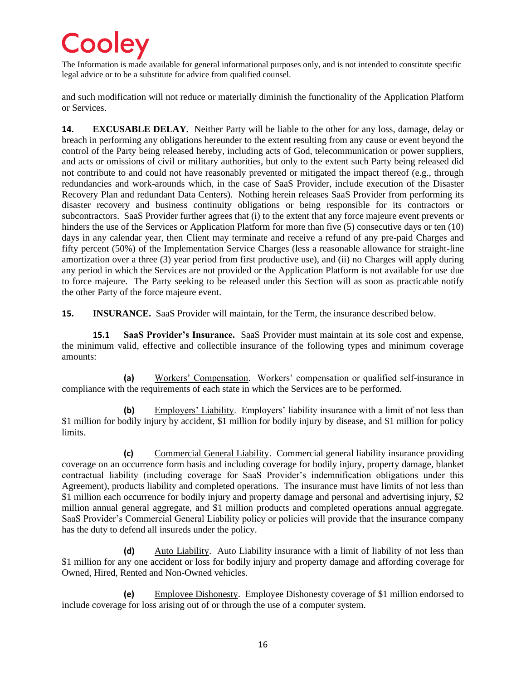The Information is made available for general informational purposes only, and is not intended to constitute specific legal advice or to be a substitute for advice from qualified counsel.

and such modification will not reduce or materially diminish the functionality of the Application Platform or Services.

**14. EXCUSABLE DELAY.** Neither Party will be liable to the other for any loss, damage, delay or breach in performing any obligations hereunder to the extent resulting from any cause or event beyond the control of the Party being released hereby, including acts of God, telecommunication or power suppliers, and acts or omissions of civil or military authorities, but only to the extent such Party being released did not contribute to and could not have reasonably prevented or mitigated the impact thereof (e.g., through redundancies and work-arounds which, in the case of SaaS Provider, include execution of the Disaster Recovery Plan and redundant Data Centers). Nothing herein releases SaaS Provider from performing its disaster recovery and business continuity obligations or being responsible for its contractors or subcontractors. SaaS Provider further agrees that (i) to the extent that any force majeure event prevents or hinders the use of the Services or Application Platform for more than five (5) consecutive days or ten (10) days in any calendar year, then Client may terminate and receive a refund of any pre-paid Charges and fifty percent (50%) of the Implementation Service Charges (less a reasonable allowance for straight-line amortization over a three (3) year period from first productive use), and (ii) no Charges will apply during any period in which the Services are not provided or the Application Platform is not available for use due to force majeure. The Party seeking to be released under this Section will as soon as practicable notify the other Party of the force majeure event.

**15. INSURANCE.** SaaS Provider will maintain, for the Term, the insurance described below.

**15.1 SaaS Provider's Insurance.** SaaS Provider must maintain at its sole cost and expense, the minimum valid, effective and collectible insurance of the following types and minimum coverage amounts:

**(a)** Workers' Compensation. Workers' compensation or qualified self-insurance in compliance with the requirements of each state in which the Services are to be performed.

**(b)** Employers' Liability. Employers' liability insurance with a limit of not less than \$1 million for bodily injury by accident, \$1 million for bodily injury by disease, and \$1 million for policy limits.

**(c)** Commercial General Liability. Commercial general liability insurance providing coverage on an occurrence form basis and including coverage for bodily injury, property damage, blanket contractual liability (including coverage for SaaS Provider's indemnification obligations under this Agreement), products liability and completed operations. The insurance must have limits of not less than \$1 million each occurrence for bodily injury and property damage and personal and advertising injury, \$2 million annual general aggregate, and \$1 million products and completed operations annual aggregate. SaaS Provider's Commercial General Liability policy or policies will provide that the insurance company has the duty to defend all insureds under the policy.

**(d)** Auto Liability. Auto Liability insurance with a limit of liability of not less than \$1 million for any one accident or loss for bodily injury and property damage and affording coverage for Owned, Hired, Rented and Non-Owned vehicles.

**(e)** Employee Dishonesty. Employee Dishonesty coverage of \$1 million endorsed to include coverage for loss arising out of or through the use of a computer system.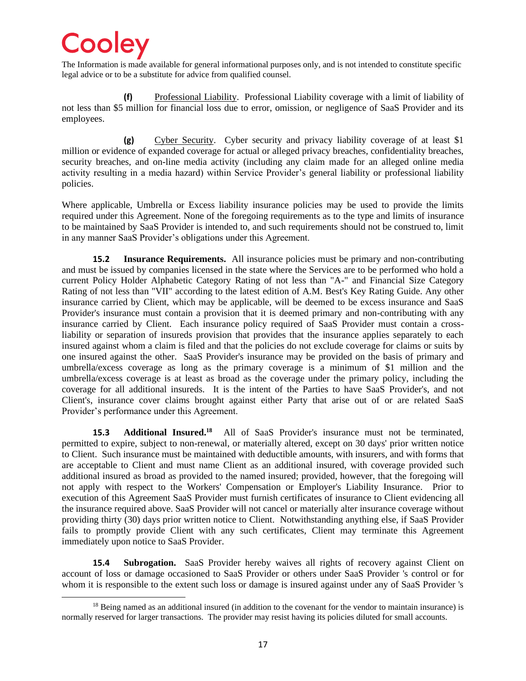The Information is made available for general informational purposes only, and is not intended to constitute specific legal advice or to be a substitute for advice from qualified counsel.

**(f)** Professional Liability. Professional Liability coverage with a limit of liability of not less than \$5 million for financial loss due to error, omission, or negligence of SaaS Provider and its employees.

**(g)** Cyber Security. Cyber security and privacy liability coverage of at least \$1 million or evidence of expanded coverage for actual or alleged privacy breaches, confidentiality breaches, security breaches, and on-line media activity (including any claim made for an alleged online media activity resulting in a media hazard) within Service Provider's general liability or professional liability policies.

Where applicable, Umbrella or Excess liability insurance policies may be used to provide the limits required under this Agreement. None of the foregoing requirements as to the type and limits of insurance to be maintained by SaaS Provider is intended to, and such requirements should not be construed to, limit in any manner SaaS Provider's obligations under this Agreement.

**15.2 Insurance Requirements.** All insurance policies must be primary and non-contributing and must be issued by companies licensed in the state where the Services are to be performed who hold a current Policy Holder Alphabetic Category Rating of not less than "A-" and Financial Size Category Rating of not less than "VII" according to the latest edition of A.M. Best's Key Rating Guide. Any other insurance carried by Client, which may be applicable, will be deemed to be excess insurance and SaaS Provider's insurance must contain a provision that it is deemed primary and non-contributing with any insurance carried by Client. Each insurance policy required of SaaS Provider must contain a crossliability or separation of insureds provision that provides that the insurance applies separately to each insured against whom a claim is filed and that the policies do not exclude coverage for claims or suits by one insured against the other. SaaS Provider's insurance may be provided on the basis of primary and umbrella/excess coverage as long as the primary coverage is a minimum of \$1 million and the umbrella/excess coverage is at least as broad as the coverage under the primary policy, including the coverage for all additional insureds. It is the intent of the Parties to have SaaS Provider's, and not Client's, insurance cover claims brought against either Party that arise out of or are related SaaS Provider's performance under this Agreement.

**15.3 Additional Insured.<sup>18</sup>** All of SaaS Provider's insurance must not be terminated, permitted to expire, subject to non-renewal, or materially altered, except on 30 days' prior written notice to Client. Such insurance must be maintained with deductible amounts, with insurers, and with forms that are acceptable to Client and must name Client as an additional insured, with coverage provided such additional insured as broad as provided to the named insured; provided, however, that the foregoing will not apply with respect to the Workers' Compensation or Employer's Liability Insurance. Prior to execution of this Agreement SaaS Provider must furnish certificates of insurance to Client evidencing all the insurance required above. SaaS Provider will not cancel or materially alter insurance coverage without providing thirty (30) days prior written notice to Client. Notwithstanding anything else, if SaaS Provider fails to promptly provide Client with any such certificates, Client may terminate this Agreement immediately upon notice to SaaS Provider.

**15.4 Subrogation.** SaaS Provider hereby waives all rights of recovery against Client on account of loss or damage occasioned to SaaS Provider or others under SaaS Provider 's control or for whom it is responsible to the extent such loss or damage is insured against under any of SaaS Provider 's

<sup>&</sup>lt;sup>18</sup> Being named as an additional insured (in addition to the covenant for the vendor to maintain insurance) is normally reserved for larger transactions. The provider may resist having its policies diluted for small accounts.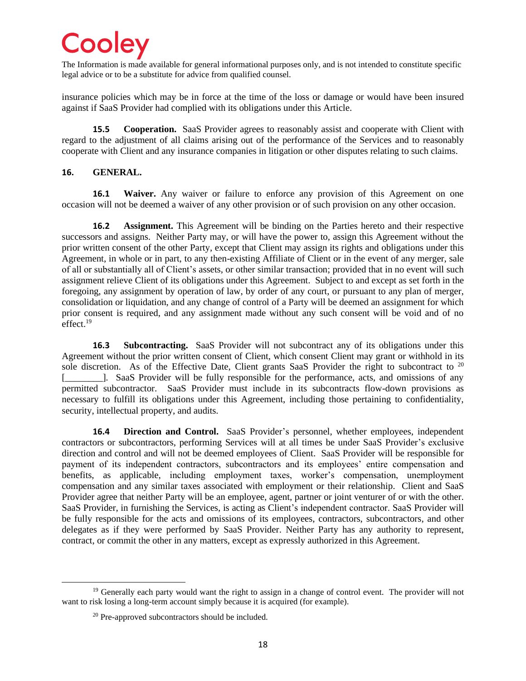The Information is made available for general informational purposes only, and is not intended to constitute specific legal advice or to be a substitute for advice from qualified counsel.

insurance policies which may be in force at the time of the loss or damage or would have been insured against if SaaS Provider had complied with its obligations under this Article.

**15.5 Cooperation.** SaaS Provider agrees to reasonably assist and cooperate with Client with regard to the adjustment of all claims arising out of the performance of the Services and to reasonably cooperate with Client and any insurance companies in litigation or other disputes relating to such claims.

#### **16. GENERAL.**

**16.1 Waiver.** Any waiver or failure to enforce any provision of this Agreement on one occasion will not be deemed a waiver of any other provision or of such provision on any other occasion.

**16.2 Assignment.** This Agreement will be binding on the Parties hereto and their respective successors and assigns. Neither Party may, or will have the power to, assign this Agreement without the prior written consent of the other Party, except that Client may assign its rights and obligations under this Agreement, in whole or in part, to any then-existing Affiliate of Client or in the event of any merger, sale of all or substantially all of Client's assets, or other similar transaction; provided that in no event will such assignment relieve Client of its obligations under this Agreement. Subject to and except as set forth in the foregoing, any assignment by operation of law, by order of any court, or pursuant to any plan of merger, consolidation or liquidation, and any change of control of a Party will be deemed an assignment for which prior consent is required, and any assignment made without any such consent will be void and of no effect.<sup>19</sup>

**16.3 Subcontracting.** SaaS Provider will not subcontract any of its obligations under this Agreement without the prior written consent of Client, which consent Client may grant or withhold in its sole discretion. As of the Effective Date, Client grants SaaS Provider the right to subcontract to <sup>20</sup> [\_\_\_\_\_\_\_\_]*.* SaaS Provider will be fully responsible for the performance, acts, and omissions of any permitted subcontractor. SaaS Provider must include in its subcontracts flow-down provisions as necessary to fulfill its obligations under this Agreement, including those pertaining to confidentiality, security, intellectual property, and audits.

**16.4 Direction and Control.** SaaS Provider's personnel, whether employees, independent contractors or subcontractors, performing Services will at all times be under SaaS Provider's exclusive direction and control and will not be deemed employees of Client. SaaS Provider will be responsible for payment of its independent contractors, subcontractors and its employees' entire compensation and benefits, as applicable, including employment taxes, worker's compensation, unemployment compensation and any similar taxes associated with employment or their relationship. Client and SaaS Provider agree that neither Party will be an employee, agent, partner or joint venturer of or with the other. SaaS Provider, in furnishing the Services, is acting as Client's independent contractor. SaaS Provider will be fully responsible for the acts and omissions of its employees, contractors, subcontractors, and other delegates as if they were performed by SaaS Provider. Neither Party has any authority to represent, contract, or commit the other in any matters, except as expressly authorized in this Agreement.

<sup>&</sup>lt;sup>19</sup> Generally each party would want the right to assign in a change of control event. The provider will not want to risk losing a long-term account simply because it is acquired (for example).

<sup>&</sup>lt;sup>20</sup> Pre-approved subcontractors should be included.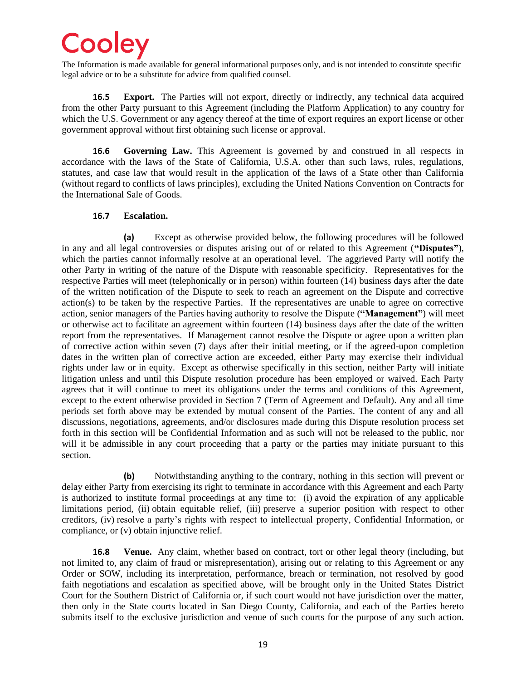The Information is made available for general informational purposes only, and is not intended to constitute specific legal advice or to be a substitute for advice from qualified counsel.

**16.5 Export.** The Parties will not export, directly or indirectly, any technical data acquired from the other Party pursuant to this Agreement (including the Platform Application) to any country for which the U.S. Government or any agency thereof at the time of export requires an export license or other government approval without first obtaining such license or approval.

**16.6 Governing Law.** This Agreement is governed by and construed in all respects in accordance with the laws of the State of California, U.S.A. other than such laws, rules, regulations, statutes, and case law that would result in the application of the laws of a State other than California (without regard to conflicts of laws principles), excluding the United Nations Convention on Contracts for the International Sale of Goods.

#### **16.7 Escalation.**

**(a)** Except as otherwise provided below, the following procedures will be followed in any and all legal controversies or disputes arising out of or related to this Agreement (**"Disputes"**), which the parties cannot informally resolve at an operational level. The aggrieved Party will notify the other Party in writing of the nature of the Dispute with reasonable specificity. Representatives for the respective Parties will meet (telephonically or in person) within fourteen (14) business days after the date of the written notification of the Dispute to seek to reach an agreement on the Dispute and corrective action(s) to be taken by the respective Parties. If the representatives are unable to agree on corrective action, senior managers of the Parties having authority to resolve the Dispute (**"Management"**) will meet or otherwise act to facilitate an agreement within fourteen (14) business days after the date of the written report from the representatives. If Management cannot resolve the Dispute or agree upon a written plan of corrective action within seven (7) days after their initial meeting, or if the agreed-upon completion dates in the written plan of corrective action are exceeded, either Party may exercise their individual rights under law or in equity. Except as otherwise specifically in this section, neither Party will initiate litigation unless and until this Dispute resolution procedure has been employed or waived. Each Party agrees that it will continue to meet its obligations under the terms and conditions of this Agreement, except to the extent otherwise provided in Section 7 (Term of Agreement and Default). Any and all time periods set forth above may be extended by mutual consent of the Parties. The content of any and all discussions, negotiations, agreements, and/or disclosures made during this Dispute resolution process set forth in this section will be Confidential Information and as such will not be released to the public, nor will it be admissible in any court proceeding that a party or the parties may initiate pursuant to this section.

**(b)** Notwithstanding anything to the contrary, nothing in this section will prevent or delay either Party from exercising its right to terminate in accordance with this Agreement and each Party is authorized to institute formal proceedings at any time to: (i) avoid the expiration of any applicable limitations period, (ii) obtain equitable relief, (iii) preserve a superior position with respect to other creditors, (iv) resolve a party's rights with respect to intellectual property, Confidential Information, or compliance, or (v) obtain injunctive relief.

**16.8 Venue.** Any claim, whether based on contract, tort or other legal theory (including, but not limited to, any claim of fraud or misrepresentation), arising out or relating to this Agreement or any Order or SOW, including its interpretation, performance, breach or termination, not resolved by good faith negotiations and escalation as specified above, will be brought only in the United States District Court for the Southern District of California or, if such court would not have jurisdiction over the matter, then only in the State courts located in San Diego County, California, and each of the Parties hereto submits itself to the exclusive jurisdiction and venue of such courts for the purpose of any such action.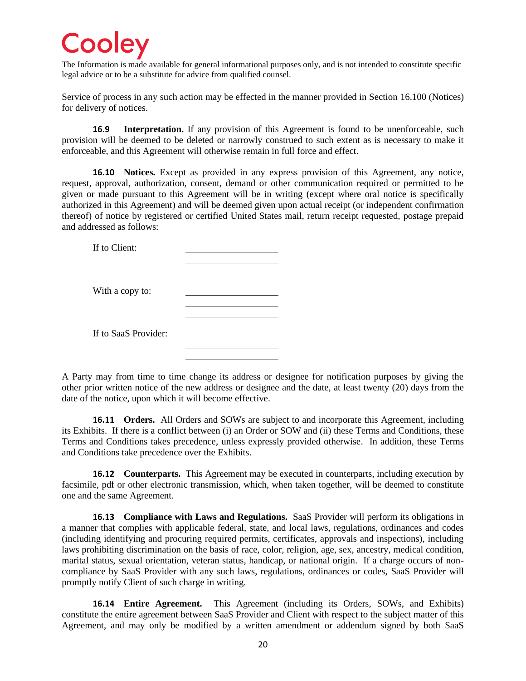The Information is made available for general informational purposes only, and is not intended to constitute specific legal advice or to be a substitute for advice from qualified counsel.

Service of process in any such action may be effected in the manner provided in Section [16.100](#page-19-0) (Notices) for delivery of notices.

**16.9 Interpretation.** If any provision of this Agreement is found to be unenforceable, such provision will be deemed to be deleted or narrowly construed to such extent as is necessary to make it enforceable, and this Agreement will otherwise remain in full force and effect.

<span id="page-19-0"></span>**16.10 Notices.** Except as provided in any express provision of this Agreement, any notice, request, approval, authorization, consent, demand or other communication required or permitted to be given or made pursuant to this Agreement will be in writing (except where oral notice is specifically authorized in this Agreement) and will be deemed given upon actual receipt (or independent confirmation thereof) of notice by registered or certified United States mail, return receipt requested, postage prepaid and addressed as follows:

| If to Client:        |  |
|----------------------|--|
|                      |  |
|                      |  |
| With a copy to:      |  |
|                      |  |
|                      |  |
| If to SaaS Provider: |  |
|                      |  |
|                      |  |

A Party may from time to time change its address or designee for notification purposes by giving the other prior written notice of the new address or designee and the date, at least twenty (20) days from the date of the notice, upon which it will become effective.

**16.11 Orders.** All Orders and SOWs are subject to and incorporate this Agreement, including its Exhibits. If there is a conflict between (i) an Order or SOW and (ii) these Terms and Conditions, these Terms and Conditions takes precedence, unless expressly provided otherwise. In addition, these Terms and Conditions take precedence over the Exhibits.

**16.12 Counterparts.** This Agreement may be executed in counterparts, including execution by facsimile, pdf or other electronic transmission, which, when taken together, will be deemed to constitute one and the same Agreement.

**16.13 Compliance with Laws and Regulations.** SaaS Provider will perform its obligations in a manner that complies with applicable federal, state, and local laws, regulations, ordinances and codes (including identifying and procuring required permits, certificates, approvals and inspections), including laws prohibiting discrimination on the basis of race, color, religion, age, sex, ancestry, medical condition, marital status, sexual orientation, veteran status, handicap, or national origin. If a charge occurs of noncompliance by SaaS Provider with any such laws, regulations, ordinances or codes, SaaS Provider will promptly notify Client of such charge in writing.

**16.14 Entire Agreement.** This Agreement (including its Orders, SOWs, and Exhibits) constitute the entire agreement between SaaS Provider and Client with respect to the subject matter of this Agreement, and may only be modified by a written amendment or addendum signed by both SaaS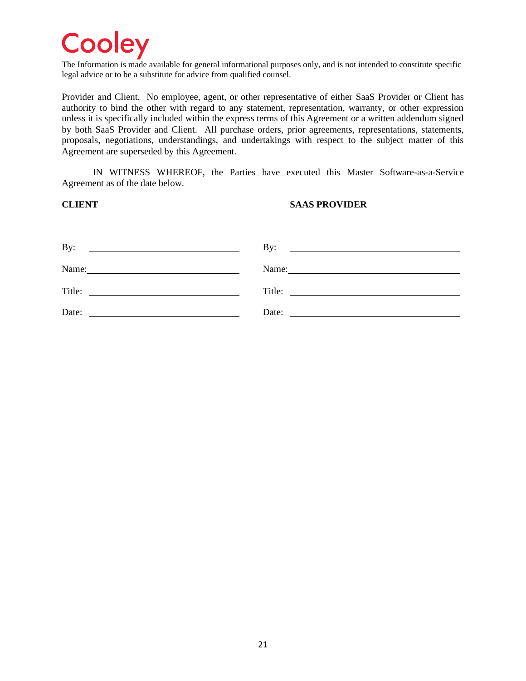The Information is made available for general informational purposes only, and is not intended to constitute specific legal advice or to be a substitute for advice from qualified counsel.

Provider and Client. No employee, agent, or other representative of either SaaS Provider or Client has authority to bind the other with regard to any statement, representation, warranty, or other expression unless it is specifically included within the express terms of this Agreement or a written addendum signed by both SaaS Provider and Client. All purchase orders, prior agreements, representations, statements, proposals, negotiations, understandings, and undertakings with respect to the subject matter of this Agreement are superseded by this Agreement.

IN WITNESS WHEREOF, the Parties have executed this Master Software-as-a-Service Agreement as of the date below.

#### **CLIENT SAAS PROVIDER**

| By:                                                                                                                                                                                                                                            | $\mathbf{By:}$                                                                                                                                                                                                                 |
|------------------------------------------------------------------------------------------------------------------------------------------------------------------------------------------------------------------------------------------------|--------------------------------------------------------------------------------------------------------------------------------------------------------------------------------------------------------------------------------|
|                                                                                                                                                                                                                                                | <u> 1989 - Johann Harry Harry Harry Harry Harry Harry Harry Harry Harry Harry Harry Harry Harry Harry Harry Harry</u>                                                                                                          |
| Name:                                                                                                                                                                                                                                          | Name: Name and the set of the set of the set of the set of the set of the set of the set of the set of the set of the set of the set of the set of the set of the set of the set of the set of the set of the set of the set o |
| Title:<br><u>and the state of the state of the state of the state of the state of the state of the state of the state of the state of the state of the state of the state of the state of the state of the state of the state of the state</u> | Title:                                                                                                                                                                                                                         |
| Date:                                                                                                                                                                                                                                          | Date:                                                                                                                                                                                                                          |
|                                                                                                                                                                                                                                                |                                                                                                                                                                                                                                |